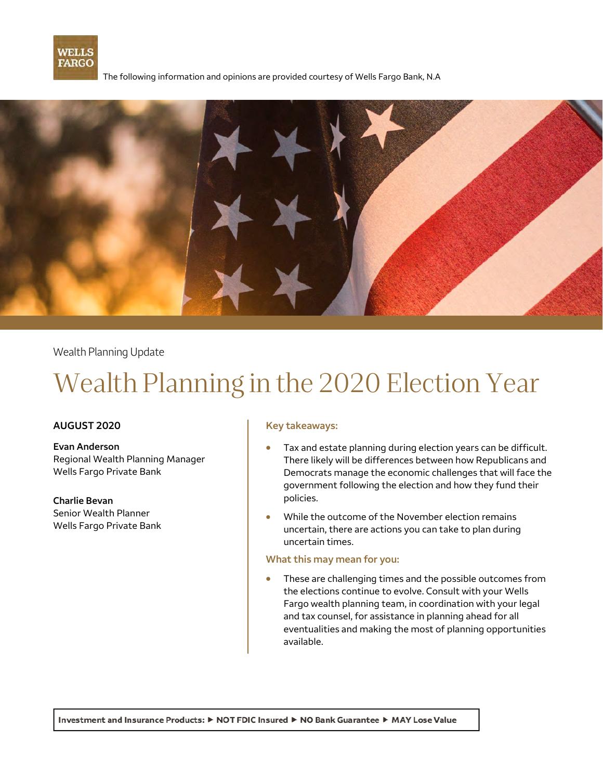

The following information and opinions are provided courtesy of Wells Fargo Bank, N.A



Wealth Planning Update

# Wealth Planning in the 2020 Election Year

#### **AUGUST 2020**

**Evan Anderson**  Regional Wealth Planning Manager Wells Fargo Private Bank

**Charlie Bevan**  Senior Wealth Planner Wells Fargo Private Bank

#### **Key takeaways:**

- Tax and estate planning during election years can be difficult. There likely will be differences between how Republicans and Democrats manage the economic challenges that will face the government following the election and how they fund their policies.
- While the outcome of the November election remains uncertain, there are actions you can take to plan during uncertain times.

#### **What this may mean for you:**

 These are challenging times and the possible outcomes from the elections continue to evolve. Consult with your Wells Fargo wealth planning team, in coordination with your legal and tax counsel, for assistance in planning ahead for all eventualities and making the most of planning opportunities available.

Investment and Insurance Products: ▶ NOT FDIC Insured ▶ NO Bank Guarantee ▶ MAY Lose Value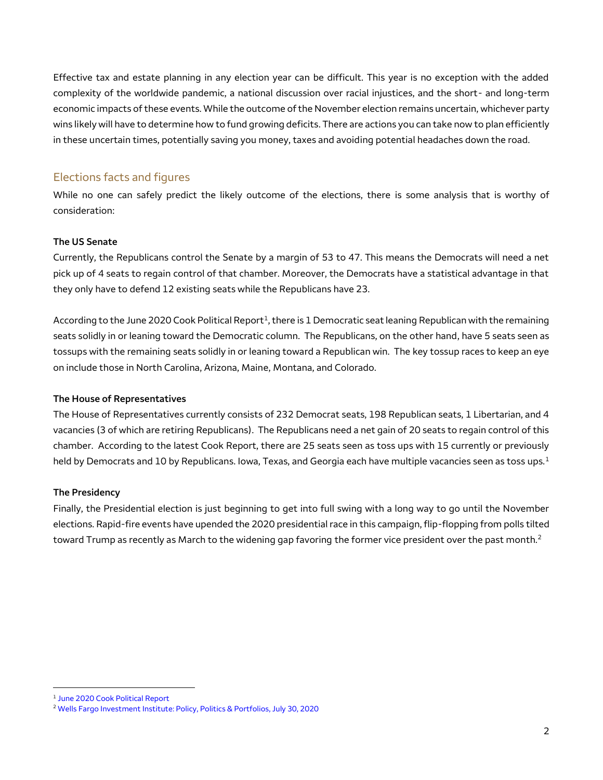Effective tax and estate planning in any election year can be difficult. This year is no exception with the added complexity of the worldwide pandemic, a national discussion over racial injustices, and the short- and long-term economic impacts of these events. While the outcome of the November election remains uncertain, whichever party wins likely will have to determine how to fund growing deficits. There are actions you can take now to plan efficiently in these uncertain times, potentially saving you money, taxes and avoiding potential headaches down the road.

### Elections facts and figures

While no one can safely predict the likely outcome of the elections, there is some analysis that is worthy of consideration:

#### **The US Senate**

Currently, the Republicans control the Senate by a margin of 53 to 47. This means the Democrats will need a net pick up of 4 seats to regain control of that chamber. Moreover, the Democrats have a statistical advantage in that they only have to defend 12 existing seats while the Republicans have 23.

According to the June 2020 Cook Political Report<sup>1</sup>, there is 1 Democratic seat leaning Republican with the remaining seats solidly in or leaning toward the Democratic column. The Republicans, on the other hand, have 5 seats seen as tossups with the remaining seats solidly in or leaning toward a Republican win. The key tossup races to keep an eye on include those in North Carolina, Arizona, Maine, Montana, and Colorado.

#### **The House of Representatives**

The House of Representatives currently consists of 232 Democrat seats, 198 Republican seats, 1 Libertarian, and 4 vacancies (3 of which are retiring Republicans). The Republicans need a net gain of 20 seats to regain control of this chamber. According to the latest Cook Report, there are 25 seats seen as toss ups with 15 currently or previously held by Democrats and 10 by Republicans. Iowa, Texas, and Georgia each have multiple vacancies seen as toss ups.<sup>1</sup>

#### **The Presidency**

Finally, the Presidential election is just beginning to get into full swing with a long way to go until the November elections. Rapid-fire events have upended the 2020 presidential race in this campaign, flip-flopping from polls tilted toward Trump as recently as March to the widening gap favoring the former vice president over the past month.<sup>2</sup>

 $\overline{a}$ 

<sup>&</sup>lt;sup>1</sup> June 2020 Cook Political Report

<sup>2</sup> [Wells Fargo Investment Institute: Policy, Politics & Portfolios,](https://wim.sp.wellsfargo.net/wfii/PolicyPoliticsPortfolios/Advantage%20Democrats.pdf) July 30, 2020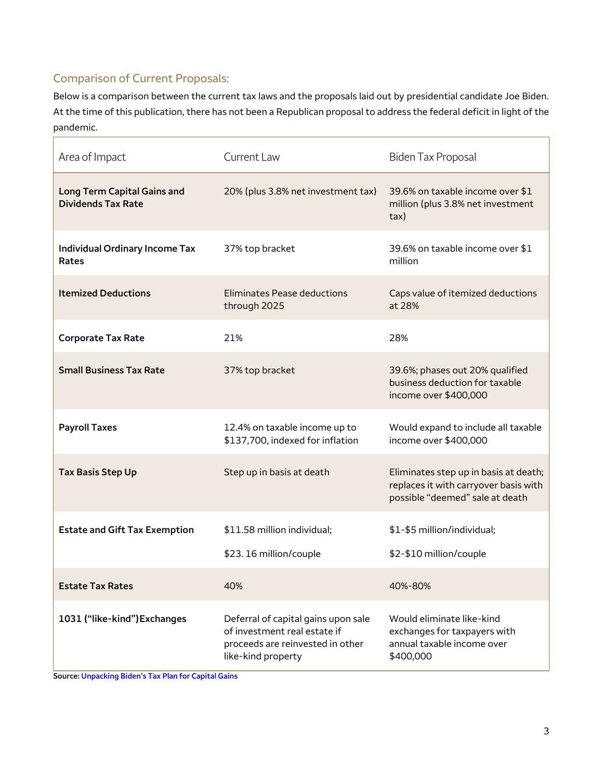# Comparison of Current Proposals:

Below is a comparison between the current tax laws and the proposals laid out by presidential candidate Joe Biden. At the time of this publication, there has not been a Republican proposal to address the federal deficit in light of the pandemic.

| Area of Impact                                                  | Current Law                                                                                                                   | <b>Biden Tax Proposal</b>                                                                                         |
|-----------------------------------------------------------------|-------------------------------------------------------------------------------------------------------------------------------|-------------------------------------------------------------------------------------------------------------------|
| <b>Long Term Capital Gains and</b><br><b>Dividends Tax Rate</b> | 20% (plus 3.8% net investment tax)                                                                                            | 39.6% on taxable income over \$1<br>million (plus 3.8% net investment<br>tax)                                     |
| <b>Individual Ordinary Income Tax</b><br>Rates                  | 37% top bracket                                                                                                               | 39.6% on taxable income over \$1<br>million                                                                       |
| <b>Itemized Deductions</b>                                      | <b>Eliminates Pease deductions</b><br>through 2025                                                                            | Caps value of itemized deductions<br>at 28%                                                                       |
| <b>Corporate Tax Rate</b>                                       | 21%                                                                                                                           | 28%                                                                                                               |
| <b>Small Business Tax Rate</b>                                  | 37% top bracket                                                                                                               | 39.6%; phases out 20% qualified<br>business deduction for taxable<br>income over \$400,000                        |
| <b>Payroll Taxes</b>                                            | 12.4% on taxable income up to<br>\$137,700, indexed for inflation                                                             | Would expand to include all taxable<br>income over \$400,000                                                      |
| <b>Tax Basis Step Up</b>                                        | Step up in basis at death                                                                                                     | Eliminates step up in basis at death;<br>replaces it with carryover basis with<br>possible "deemed" sale at death |
| <b>Estate and Gift Tax Exemption</b>                            | \$11.58 million individual;<br>\$23.16 million/couple                                                                         | \$1-\$5 million/individual;<br>\$2-\$10 million/couple                                                            |
| <b>Estate Tax Rates</b>                                         | 40%                                                                                                                           | 40%-80%                                                                                                           |
| 1031 ("like-kind") Exchanges                                    | Deferral of capital gains upon sale<br>of investment real estate if<br>proceeds are reinvested in other<br>like-kind property | Would eliminate like-kind<br>exchanges for taxpayers with<br>annual taxable income over<br>\$400,000              |

**Source: [Unpacking Biden's Tax Plan for Capital Gains](https://taxfoundation.org/joe-biden-tax-proposals/)**